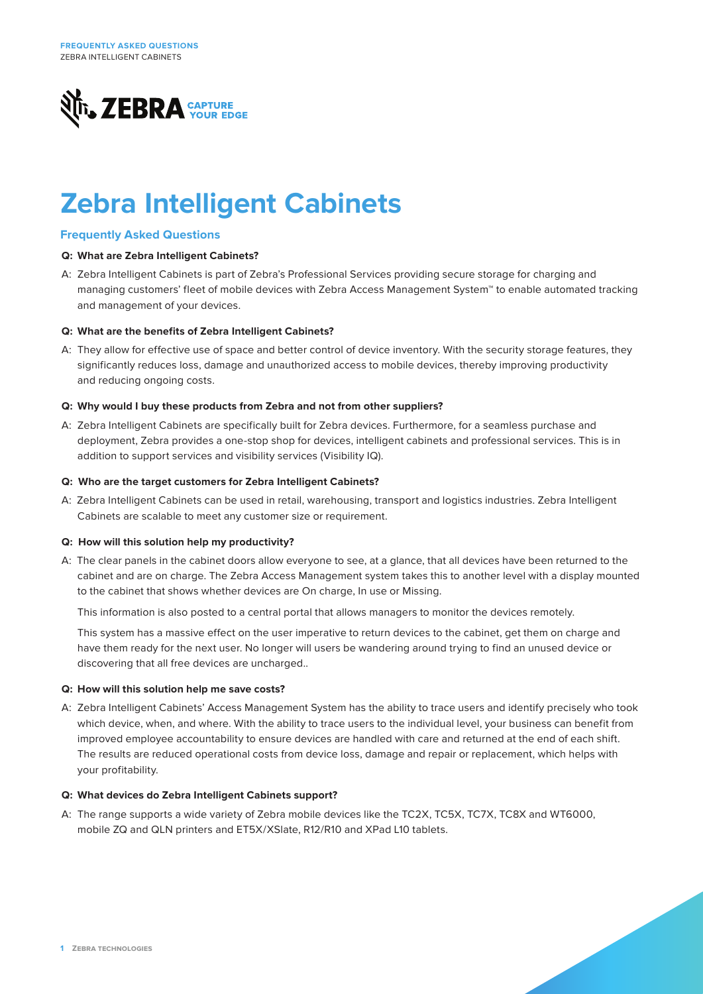

# **Zebra Intelligent Cabinets**

# **Frequently Asked Questions**

# **Q: What are Zebra Intelligent Cabinets?**

A: Zebra Intelligent Cabinets is part of Zebra's Professional Services providing secure storage for charging and managing customers' fleet of mobile devices with Zebra Access Management System™ to enable automated tracking and management of your devices.

# **Q: What are the benefits of Zebra Intelligent Cabinets?**

A: They allow for effective use of space and better control of device inventory. With the security storage features, they significantly reduces loss, damage and unauthorized access to mobile devices, thereby improving productivity and reducing ongoing costs.

# **Q: Why would I buy these products from Zebra and not from other suppliers?**

A: Zebra Intelligent Cabinets are specifically built for Zebra devices. Furthermore, for a seamless purchase and deployment, Zebra provides a one-stop shop for devices, intelligent cabinets and professional services. This is in addition to support services and visibility services (Visibility IQ).

## **Q: Who are the target customers for Zebra Intelligent Cabinets?**

A: Zebra Intelligent Cabinets can be used in retail, warehousing, transport and logistics industries. Zebra Intelligent Cabinets are scalable to meet any customer size or requirement.

## **Q: How will this solution help my productivity?**

A: The clear panels in the cabinet doors allow everyone to see, at a glance, that all devices have been returned to the cabinet and are on charge. The Zebra Access Management system takes this to another level with a display mounted to the cabinet that shows whether devices are On charge, In use or Missing.

This information is also posted to a central portal that allows managers to monitor the devices remotely.

This system has a massive effect on the user imperative to return devices to the cabinet, get them on charge and have them ready for the next user. No longer will users be wandering around trying to find an unused device or discovering that all free devices are uncharged..

## **Q: How will this solution help me save costs?**

A: Zebra Intelligent Cabinets' Access Management System has the ability to trace users and identify precisely who took which device, when, and where. With the ability to trace users to the individual level, your business can benefit from improved employee accountability to ensure devices are handled with care and returned at the end of each shift. The results are reduced operational costs from device loss, damage and repair or replacement, which helps with your profitability.

## **Q: What devices do Zebra Intelligent Cabinets support?**

A: The range supports a wide variety of Zebra mobile devices like the TC2X, TC5X, TC7X, TC8X and WT6000, mobile ZQ and QLN printers and ET5X/XSlate, R12/R10 and XPad L10 tablets.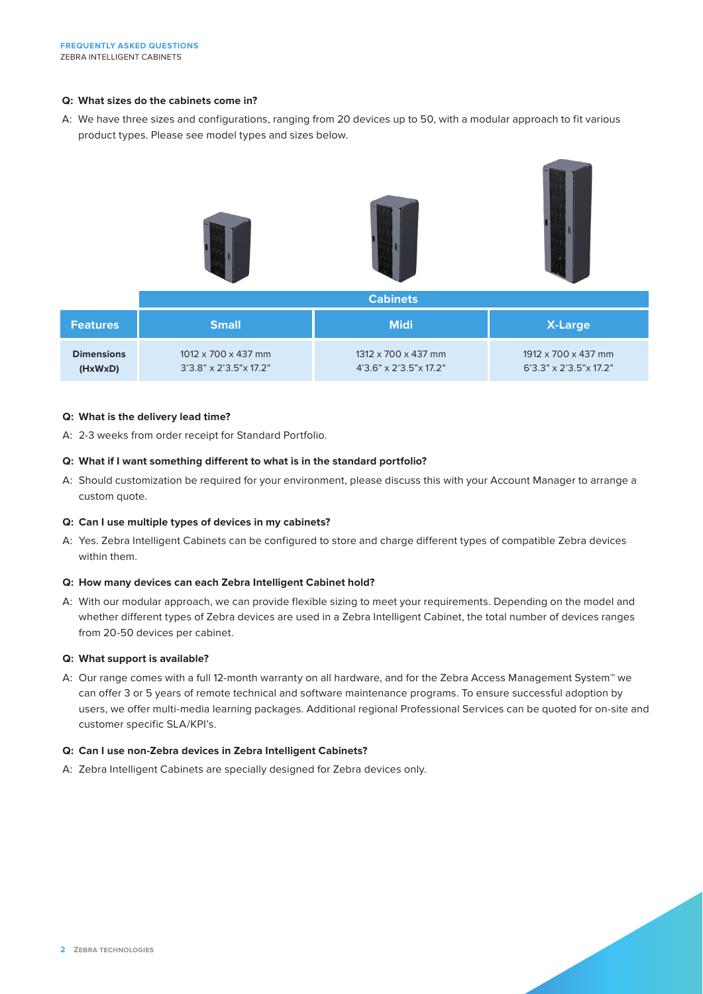# **Q: What sizes do the cabinets come in?**

A: We have three sizes and configurations, ranging from 20 devices up to 50, with a modular approach to fit various product types. Please see model types and sizes below.



| <b>Features</b>   | <b>Small</b>                        | <b>Midi</b>                            | <b>X-Large</b>                         |
|-------------------|-------------------------------------|----------------------------------------|----------------------------------------|
| <b>Dimensions</b> | $1012 \times 700 \times 437$ mm     | $1312 \times 700 \times 437$ mm        | 1912 x 700 x 437 mm                    |
| (HxWxD)           | $3'3.8" \times 2'3.5" \times 17.2"$ | $4'3.6'' \times 2'3.5'' \times 17.2''$ | $6'3.3'' \times 2'3.5'' \times 17.2''$ |

## **Q: What is the delivery lead time?**

A: 2-3 weeks from order receipt for Standard Portfolio.

# **Q: What if I want something different to what is in the standard portfolio?**

A: Should customization be required for your environment, please discuss this with your Account Manager to arrange a custom quote.

# **Q: Can I use multiple types of devices in my cabinets?**

A: Yes. Zebra Intelligent Cabinets can be configured to store and charge different types of compatible Zebra devices within them.

## **Q: How many devices can each Zebra Intelligent Cabinet hold?**

A: With our modular approach, we can provide flexible sizing to meet your requirements. Depending on the model and whether different types of Zebra devices are used in a Zebra Intelligent Cabinet, the total number of devices ranges from 20-50 devices per cabinet.

## **Q: What support is available?**

A: Our range comes with a full 12-month warranty on all hardware, and for the Zebra Access Management System™ we can offer 3 or 5 years of remote technical and software maintenance programs. To ensure successful adoption by users, we offer multi-media learning packages. Additional regional Professional Services can be quoted for on-site and customer specific SLA/KPI's.

## **Q: Can I use non-Zebra devices in Zebra Intelligent Cabinets?**

A: Zebra Intelligent Cabinets are specially designed for Zebra devices only.